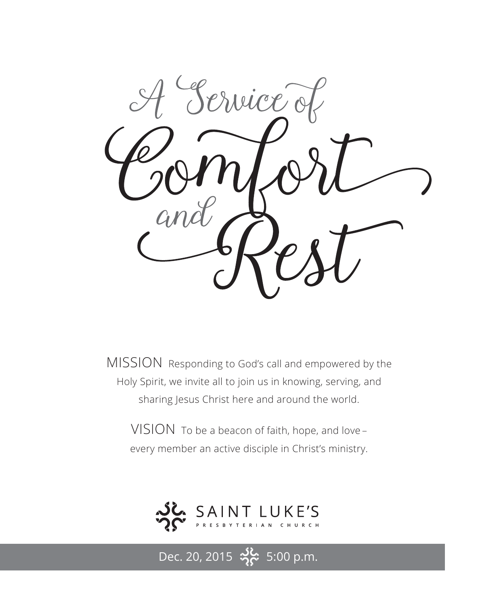

MISSION Responding to God's call and empowered by the Holy Spirit, we invite all to join us in knowing, serving, and sharing Jesus Christ here and around the world.

VISION To be a beacon of faith, hope, and love – every member an active disciple in Christ's ministry.



Dec. 20, 2015  $\frac{36}{2}$  5:00 p.m.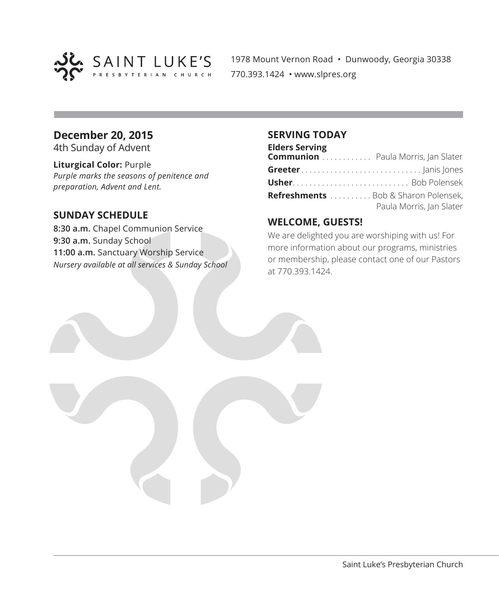

1978 Mount Vernon Road • Dunwoody, Georgia 30338 770.393.1424 • www.slpres.org

#### **December 20, 2015**

4th Sunday of Advent

#### **Liturgical Color:** Purple

*Purple marks the seasons of penitence and preparation, Advent and Lent.*

#### **SUNDAY SCHEDULE**

**8:30 a.m.** Chapel Communion Service **9:30 a.m.** Sunday School **11:00 a.m.** Sanctuary Worship Service *Nursery available at all services & Sunday School*

#### **SERVING TODAY**

#### **Elders Serving Communion** . . . . . . . . . . . . Paula Morris, Jan Slater **Greeter** . . . . . . . . . . . . . . . . . . . . . . . . . . . . . Janis Jones **Usher** . . . . . . . . . . . . . . . . . . . . . . . . . . . . Bob Polensek **Refreshments** . . . . . . . . . Bob & Sharon Polensek, Paula Morris, Jan Slater

#### **WELCOME, GUESTS!**

We are delighted you are worshiping with us! For more information about our programs, ministries or membership, please contact one of our Pastors at 770.393.1424.

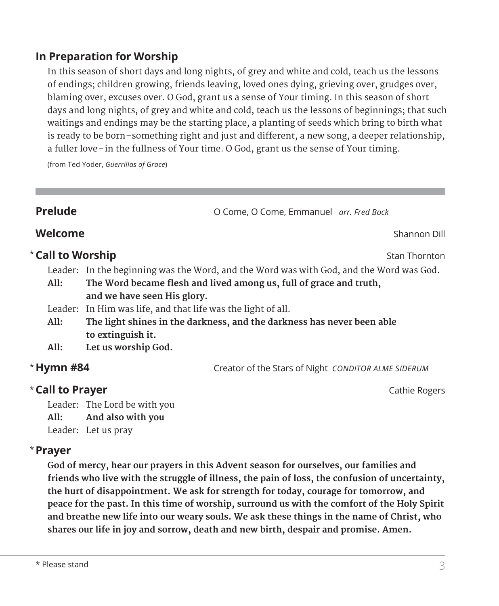#### **In Preparation for Worship**

 In this season of short days and long nights, of grey and white and cold, teach us the lessons of endings; children growing, friends leaving, loved ones dying, grieving over, grudges over, blaming over, excuses over. O God, grant us a sense of Your timing. In this season of short days and long nights, of grey and white and cold, teach us the lessons of beginnings; that such waitings and endings may be the starting place, a planting of seeds which bring to birth what is ready to be born–something right and just and different, a new song, a deeper relationship, a fuller love–in the fullness of Your time. O God, grant us the sense of Your timing.

(from Ted Yoder, *Guerrillas of Grace*)

**Prelude Come, O Come, O Come, Emmanuel** *arr. Fred Bock* 

# **Welcome** Shannon Dill

#### **Call to Worship and Stan Thornton** Stan Thornton

Leader: In the beginning was the Word, and the Word was with God, and the Word was God.

- **All: The Word became flesh and lived among us, full of grace and truth, and we have seen His glory.**
- Leader: In Him was life, and that life was the light of all.
- **All: The light shines in the darkness, and the darkness has never been able to extinguish it.**
- **All: Let us worship God.**

### \* Hymn #84

**Hymn #84** Creator of the Stars of Night *CONDITOR ALME SIDERUM*

#### **Call to Prayer Cathie Rogers Cathie Rogers Cathie Rogers**

Leader: The Lord be with you **All: And also with you** Leader: Let us pray

#### **Prayer**  \*

 **God of mercy, hear our prayers in this Advent season for ourselves, our families and friends who live with the struggle of illness, the pain of loss, the confusion of uncertainty, the hurt of disappointment. We ask for strength for today, courage for tomorrow, and peace for the past. In this time of worship, surround us with the comfort of the Holy Spirit and breathe new life into our weary souls. We ask these things in the name of Christ, who shares our life in joy and sorrow, death and new birth, despair and promise. Amen.**

- 
- 
-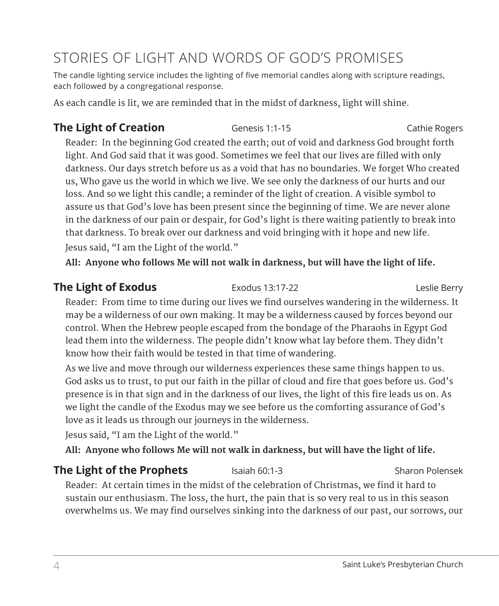# STORIES OF LIGHT AND WORDS OF GOD'S PROMISES

The candle lighting service includes the lighting of five memorial candles along with scripture readings, each followed by a congregational response.

As each candle is lit, we are reminded that in the midst of darkness, light will shine.

# **The Light of Creation** Genesis 1:1-15 Cathie Rogers Cathie Rogers

Reader: In the beginning God created the earth; out of void and darkness God brought forth light. And God said that it was good. Sometimes we feel that our lives are filled with only darkness. Our days stretch before us as a void that has no boundaries. We forget Who created us, Who gave us the world in which we live. We see only the darkness of our hurts and our loss. And so we light this candle; a reminder of the light of creation. A visible symbol to assure us that God's love has been present since the beginning of time. We are never alone in the darkness of our pain or despair, for God's light is there waiting patiently to break into that darkness. To break over our darkness and void bringing with it hope and new life. Jesus said, "I am the Light of the world."

**All: Anyone who follows Me will not walk in darkness, but will have the light of life.**

### **The Light of Exodus Exodus** Exodus 13:17-22 **Leslie Berry**

Reader: From time to time during our lives we find ourselves wandering in the wilderness. It may be a wilderness of our own making. It may be a wilderness caused by forces beyond our control. When the Hebrew people escaped from the bondage of the Pharaohs in Egypt God lead them into the wilderness. The people didn't know what lay before them. They didn't know how their faith would be tested in that time of wandering.

 As we live and move through our wilderness experiences these same things happen to us. God asks us to trust, to put our faith in the pillar of cloud and fire that goes before us. God's presence is in that sign and in the darkness of our lives, the light of this fire leads us on. As we light the candle of the Exodus may we see before us the comforting assurance of God's love as it leads us through our journeys in the wilderness.

Jesus said, "I am the Light of the world."

**All: Anyone who follows Me will not walk in darkness, but will have the light of life.**

# **The Light of the Prophets** Isaiah 60:1-3 Sharon Polensek

Reader: At certain times in the midst of the celebration of Christmas, we find it hard to sustain our enthusiasm. The loss, the hurt, the pain that is so very real to us in this season overwhelms us. We may find ourselves sinking into the darkness of our past, our sorrows, our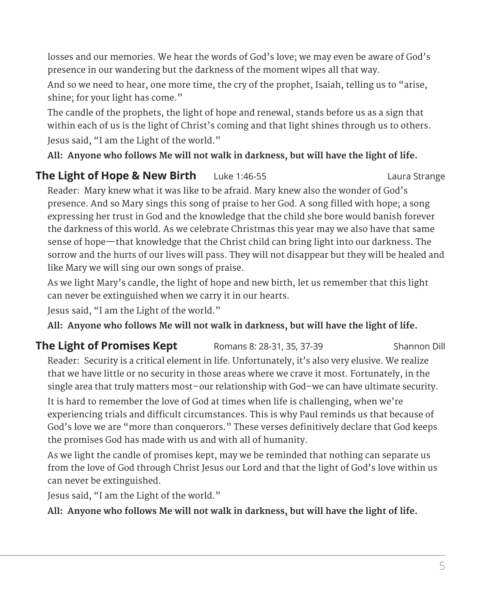losses and our memories. We hear the words of God's love; we may even be aware of God's presence in our wandering but the darkness of the moment wipes all that way.

And so we need to hear, one more time, the cry of the prophet, Isaiah, telling us to "arise, shine; for your light has come."

The candle of the prophets, the light of hope and renewal, stands before us as a sign that within each of us is the light of Christ's coming and that light shines through us to others. Jesus said, "I am the Light of the world."

**All: Anyone who follows Me will not walk in darkness, but will have the light of life.**

### **The Light of Hope & New Birth** Luke 1:46-55 Laura Strange Laura Strange

Reader: Mary knew what it was like to be afraid. Mary knew also the wonder of God's presence. And so Mary sings this song of praise to her God. A song filled with hope; a song expressing her trust in God and the knowledge that the child she bore would banish forever the darkness of this world. As we celebrate Christmas this year may we also have that same sense of hope—that knowledge that the Christ child can bring light into our darkness. The sorrow and the hurts of our lives will pass. They will not disappear but they will be healed and like Mary we will sing our own songs of praise.

As we light Mary's candle, the light of hope and new birth, let us remember that this light can never be extinguished when we carry it in our hearts.

Jesus said, "I am the Light of the world."

**All: Anyone who follows Me will not walk in darkness, but will have the light of life.**

# **The Light of Promises Kept** Romans 8: 28-31, 35, 37-39 Shannon Dill

Reader: Security is a critical element in life. Unfortunately, it's also very elusive. We realize that we have little or no security in those areas where we crave it most. Fortunately, in the single area that truly matters most–our relationship with God–we can have ultimate security.

It is hard to remember the love of God at times when life is challenging, when we're experiencing trials and difficult circumstances. This is why Paul reminds us that because of God's love we are "more than conquerors." These verses definitively declare that God keeps the promises God has made with us and with all of humanity.

As we light the candle of promises kept, may we be reminded that nothing can separate us from the love of God through Christ Jesus our Lord and that the light of God's love within us can never be extinguished.

Jesus said, "I am the Light of the world."

**All: Anyone who follows Me will not walk in darkness, but will have the light of life.**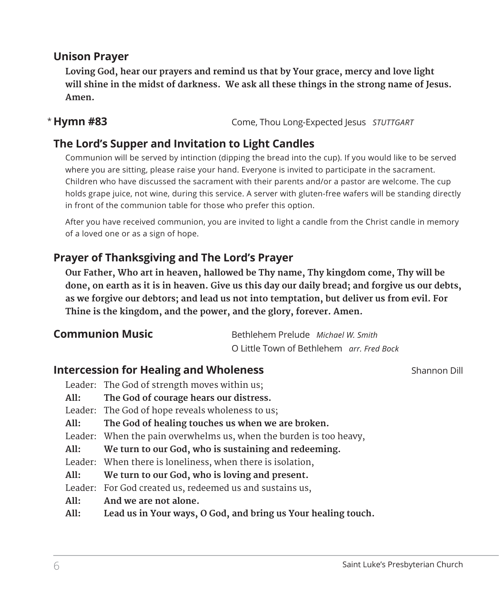### **Unison Prayer**

 **Loving God, hear our prayers and remind us that by Your grace, mercy and love light will shine in the midst of darkness. We ask all these things in the strong name of Jesus. Amen.**

#### \* Hymn #83

**Hymn #83** Come, Thou Long-Expected Jesus *STUTTGART*

## **The Lord's Supper and Invitation to Light Candles**

Communion will be served by intinction (dipping the bread into the cup). If you would like to be served where you are sitting, please raise your hand. Everyone is invited to participate in the sacrament. Children who have discussed the sacrament with their parents and/or a pastor are welcome. The cup holds grape juice, not wine, during this service. A server with gluten-free wafers will be standing directly in front of the communion table for those who prefer this option.

 After you have received communion, you are invited to light a candle from the Christ candle in memory of a loved one or as a sign of hope.

### **Prayer of Thanksgiving and The Lord's Prayer**

 **Our Father, Who art in heaven, hallowed be Thy name, Thy kingdom come, Thy will be done, on earth as it is in heaven. Give us this day our daily bread; and forgive us our debts, as we forgive our debtors; and lead us not into temptation, but deliver us from evil. For Thine is the kingdom, and the power, and the glory, forever. Amen.**

| <b>Communion Music</b> | Bethlehem Prelude Michael W. Smith               |  |
|------------------------|--------------------------------------------------|--|
|                        | O Little Town of Bethlehem <i>arr. Fred Bock</i> |  |

#### **Intercession for Healing and Wholeness Shannon Dill Shannon Dill**

- Leader: The God of strength moves within us;
- **All: The God of courage hears our distress.**
- Leader: The God of hope reveals wholeness to us;
- **All: The God of healing touches us when we are broken.**
- Leader: When the pain overwhelms us, when the burden is too heavy,
- **All: We turn to our God, who is sustaining and redeeming.**
- Leader: When there is loneliness, when there is isolation,
- **All: We turn to our God, who is loving and present.**
- Leader: For God created us, redeemed us and sustains us,
- **All: And we are not alone.**
- **All: Lead us in Your ways, O God, and bring us Your healing touch.**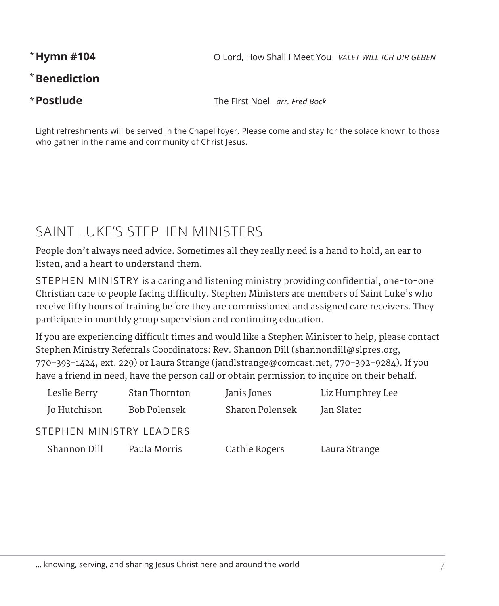\*Hymn #104

**Hymn #104** O Lord, How Shall I Meet You *VALET WILL ICH DIR GEBEN*

### **Benediction** \*

\* Postlude

**Postlude** The First Noel *arr. Fred Bock*

Light refreshments will be served in the Chapel foyer. Please come and stay for the solace known to those who gather in the name and community of Christ Jesus.

# SAINT LUKE'S STEPHEN MINISTERS

People don't always need advice. Sometimes all they really need is a hand to hold, an ear to listen, and a heart to understand them.

STEPHEN MINISTRY is a caring and listening ministry providing confidential, one-to-one Christian care to people facing difficulty. Stephen Ministers are members of Saint Luke's who receive fifty hours of training before they are commissioned and assigned care receivers. They participate in monthly group supervision and continuing education.

If you are experiencing difficult times and would like a Stephen Minister to help, please contact Stephen Ministry Referrals Coordinators: Rev. Shannon Dill (shannondill@slpres.org, 770-393-1424, ext. 229) or Laura Strange (jandlstrange@comcast.net, 770-392-9284). If you have a friend in need, have the person call or obtain permission to inquire on their behalf.

| Leslie Berry             | Stan Thornton | Janis Jones     | Liz Humphrey Lee |
|--------------------------|---------------|-----------------|------------------|
| Jo Hutchison             | Bob Polensek  | Sharon Polensek | Jan Slater       |
| STEPHEN MINISTRY LEADERS |               |                 |                  |
| Shannon Dill             | Paula Morris  | Cathie Rogers   | Laura Strange    |